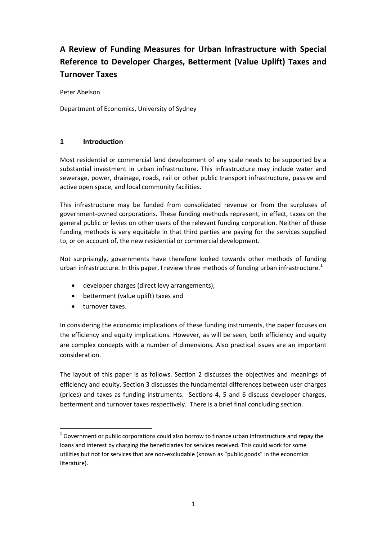# **A Review of Funding Measures for Urban Infrastructure with Special Reference to Developer Charges, Betterment (Value Uplift) Taxes and Turnover Taxes**

Peter Abelson

Department of Economics, University of Sydney

#### **1 Introduction**

Most residential or commercial land development of any scale needs to be supported by a substantial investment in urban infrastructure. This infrastructure may include water and sewerage, power, drainage, roads, rail or other public transport infrastructure, passive and active open space, and local community facilities.

This infrastructure may be funded from consolidated revenue or from the surpluses of government‐owned corporations. These funding methods represent, in effect, taxes on the general public or levies on other users of the relevant funding corporation. Neither of these funding methods is very equitable in that third parties are paying for the services supplied to, or on account of, the new residential or commercial development.

Not surprisingly, governments have therefore looked towards other methods of funding urban infrastructure. In this paper, I review three methods of funding urban infrastructure.<sup>[1](#page-0-0)</sup>

- developer charges (direct levy arrangements),
- betterment (value uplift) taxes and
- $\bullet$  turnover taxes.

In considering the economic implications of these funding instruments, the paper focuses on the efficiency and equity implications. However, as will be seen, both efficiency and equity are complex concepts with a number of dimensions. Also practical issues are an important consideration.

The layout of this paper is as follows. Section 2 discusses the objectives and meanings of efficiency and equity. Section 3 discusses the fundamental differences between user charges (prices) and taxes as funding instruments. Sections 4, 5 and 6 discuss developer charges, betterment and turnover taxes respectively. There is a brief final concluding section.

<span id="page-0-0"></span> $1$  Government or public corporations could also borrow to finance urban infrastructure and repay the loans and interest by charging the beneficiaries for services received. This could work for some utilities but not for services that are non-excludable (known as "public goods" in the economics literature).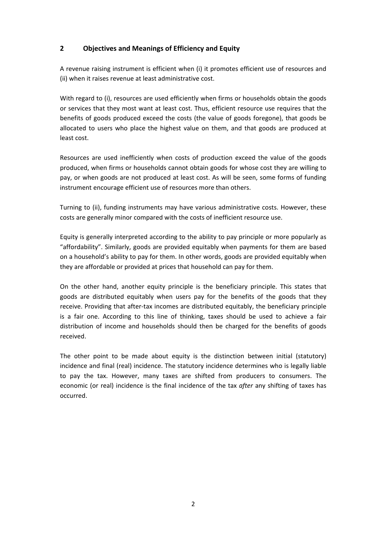# **2 Objectives and Meanings of Efficiency and Equity**

A revenue raising instrument is efficient when (i) it promotes efficient use of resources and (ii) when it raises revenue at least administrative cost.

With regard to (i), resources are used efficiently when firms or households obtain the goods or services that they most want at least cost. Thus, efficient resource use requires that the benefits of goods produced exceed the costs (the value of goods foregone), that goods be allocated to users who place the highest value on them, and that goods are produced at least cost.

Resources are used inefficiently when costs of production exceed the value of the goods produced, when firms or households cannot obtain goods for whose cost they are willing to pay, or when goods are not produced at least cost. As will be seen, some forms of funding instrument encourage efficient use of resources more than others.

Turning to (ii), funding instruments may have various administrative costs. However, these costs are generally minor compared with the costs of inefficient resource use.

Equity is generally interpreted according to the ability to pay principle or more popularly as "affordability". Similarly, goods are provided equitably when payments for them are based on a household's ability to pay for them. In other words, goods are provided equitably when they are affordable or provided at prices that household can pay for them.

On the other hand, another equity principle is the beneficiary principle. This states that goods are distributed equitably when users pay for the benefits of the goods that they receive. Providing that after-tax incomes are distributed equitably, the beneficiary principle is a fair one. According to this line of thinking, taxes should be used to achieve a fair distribution of income and households should then be charged for the benefits of goods received.

The other point to be made about equity is the distinction between initial (statutory) incidence and final (real) incidence. The statutory incidence determines who is legally liable to pay the tax. However, many taxes are shifted from producers to consumers. The economic (or real) incidence is the final incidence of the tax *after* any shifting of taxes has occurred.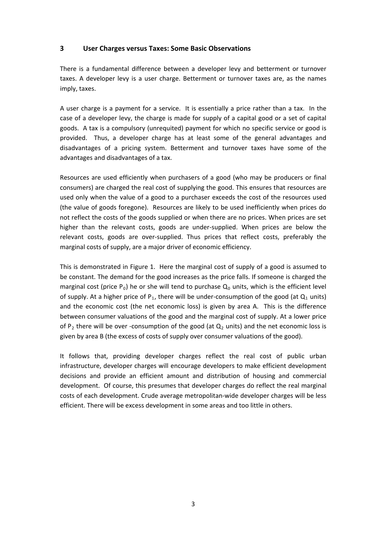#### **3 User Charges versus Taxes: Some Basic Observations**

There is a fundamental difference between a developer levy and betterment or turnover taxes. A developer levy is a user charge. Betterment or turnover taxes are, as the names imply, taxes.

A user charge is a payment for a service. It is essentially a price rather than a tax. In the case of a developer levy, the charge is made for supply of a capital good or a set of capital goods. A tax is a compulsory (unrequited) payment for which no specific service or good is provided. Thus, a developer charge has at least some of the general advantages and disadvantages of a pricing system. Betterment and turnover taxes have some of the advantages and disadvantages of a tax.

Resources are used efficiently when purchasers of a good (who may be producers or final consumers) are charged the real cost of supplying the good. This ensures that resources are used only when the value of a good to a purchaser exceeds the cost of the resources used (the value of goods foregone). Resources are likely to be used inefficiently when prices do not reflect the costs of the goods supplied or when there are no prices. When prices are set higher than the relevant costs, goods are under-supplied. When prices are below the relevant costs, goods are over‐supplied. Thus prices that reflect costs, preferably the marginal costs of supply, are a major driver of economic efficiency.

This is demonstrated in Figure 1. Here the marginal cost of supply of a good is assumed to be constant. The demand for the good increases as the price falls. If someone is charged the marginal cost (price  $P_0$ ) he or she will tend to purchase  $Q_0$  units, which is the efficient level of supply. At a higher price of  $P_1$ , there will be under-consumption of the good (at  $Q_1$  units) and the economic cost (the net economic loss) is given by area A. This is the difference between consumer valuations of the good and the marginal cost of supply. At a lower price of P<sub>2</sub> there will be over -consumption of the good (at  $Q_2$  units) and the net economic loss is given by area B (the excess of costs of supply over consumer valuations of the good).

It follows that, providing developer charges reflect the real cost of public urban infrastructure, developer charges will encourage developers to make efficient development decisions and provide an efficient amount and distribution of housing and commercial development. Of course, this presumes that developer charges do reflect the real marginal costs of each development. Crude average metropolitan‐wide developer charges will be less efficient. There will be excess development in some areas and too little in others.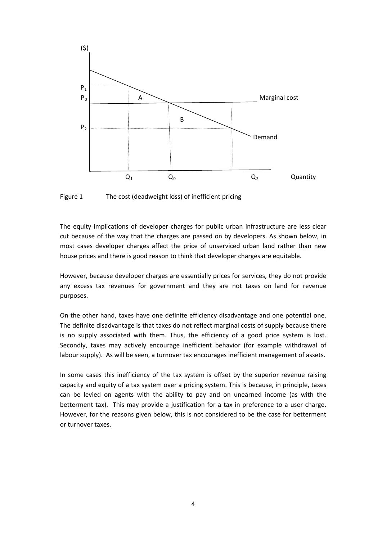

Figure 1 The cost (deadweight loss) of inefficient pricing

The equity implications of developer charges for public urban infrastructure are less clear cut because of the way that the charges are passed on by developers. As shown below, in most cases developer charges affect the price of unserviced urban land rather than new house prices and there is good reason to think that developer charges are equitable.

However, because developer charges are essentially prices for services, they do not provide any excess tax revenues for government and they are not taxes on land for revenue purposes.

On the other hand, taxes have one definite efficiency disadvantage and one potential one. The definite disadvantage is that taxes do not reflect marginal costs of supply because there is no supply associated with them. Thus, the efficiency of a good price system is lost. Secondly, taxes may actively encourage inefficient behavior (for example withdrawal of labour supply). As will be seen, a turnover tax encourages inefficient management of assets.

In some cases this inefficiency of the tax system is offset by the superior revenue raising capacity and equity of a tax system over a pricing system. This is because, in principle, taxes can be levied on agents with the ability to pay and on unearned income (as with the betterment tax). This may provide a justification for a tax in preference to a user charge. However, for the reasons given below, this is not considered to be the case for betterment or turnover taxes.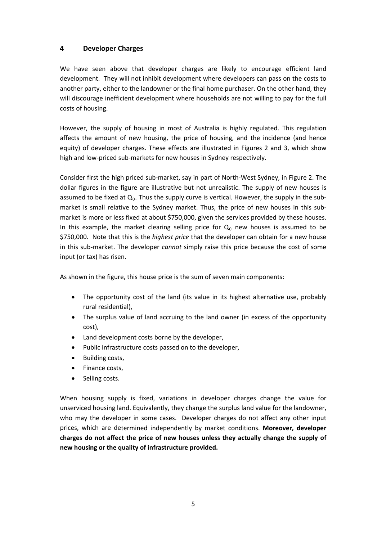### **4 Developer Charges**

We have seen above that developer charges are likely to encourage efficient land development. They will not inhibit development where developers can pass on the costs to another party, either to the landowner or the final home purchaser. On the other hand, they will discourage inefficient development where households are not willing to pay for the full costs of housing.

However, the supply of housing in most of Australia is highly regulated. This regulation affects the amount of new housing, the price of housing, and the incidence (and hence equity) of developer charges. These effects are illustrated in Figures 2 and 3, which show high and low‐priced sub‐markets for new houses in Sydney respectively.

Consider first the high priced sub‐market, say in part of North‐West Sydney, in Figure 2. The dollar figures in the figure are illustrative but not unrealistic. The supply of new houses is assumed to be fixed at  $Q_0$ . Thus the supply curve is vertical. However, the supply in the submarket is small relative to the Sydney market. Thus, the price of new houses in this sub‐ market is more or less fixed at about \$750,000, given the services provided by these houses. In this example, the market clearing selling price for  $Q_0$  new houses is assumed to be \$750,000. Note that this is the *highest price* that the developer can obtain for a new house in this sub‐market. The developer *cannot* simply raise this price because the cost of some input (or tax) has risen.

As shown in the figure, this house price is the sum of seven main components:

- The opportunity cost of the land (its value in its highest alternative use, probably rural residential),
- The surplus value of land accruing to the land owner (in excess of the opportunity cost),
- Land development costs borne by the developer,
- Public infrastructure costs passed on to the developer,
- Building costs,
- Finance costs,
- Selling costs.

When housing supply is fixed, variations in developer charges change the value for unserviced housing land. Equivalently, they change the surplus land value for the landowner, who may the developer in some cases. Developer charges do not affect any other input prices, which are determined independently by market conditions. **Moreover, developer charges do not affect the price of new houses unless they actually change the supply of new housing or the quality of infrastructure provided.**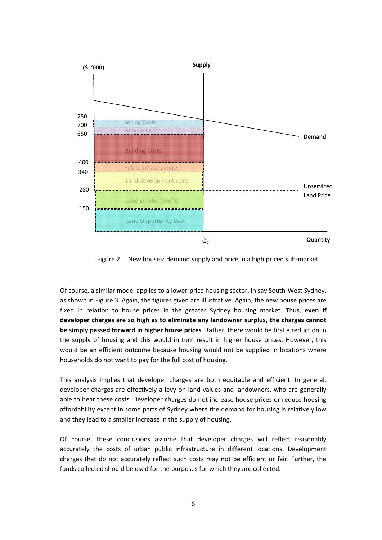

Figure 2 New houses: demand supply and price in a high priced sub-market

Of course, a similar model applies to a lower‐price housing sector, in say South‐West Sydney, as shown in Figure 3. Again, the figures given are illustrative. Again, the new house prices are fixed in relation to house prices in the greater Sydney housing market. Thus, **even if developer charges are so high as to eliminate any landowner surplus, the charges cannot be simply passed forward in higher house prices**. Rather, there would be first a reduction in the supply of housing and this would in turn result in higher house prices. However, this would be an efficient outcome because housing would not be supplied in locations where households do not want to pay for the full cost of housing.

This analysis implies that developer charges are both equitable and efficient. In general, developer charges are effectively a levy on land values and landowners, who are generally able to bear these costs. Developer charges do not increase house prices or reduce housing affordability except in some parts of Sydney where the demand for housing is relatively low and they lead to a smaller increase in the supply of housing.

Of course, these conclusions assume that developer charges will reflect reasonably accurately the costs of urban public infrastructure in different locations. Development charges that do not accurately reflect such costs may not be efficient or fair. Further, the funds collected should be used for the purposes for which they are collected.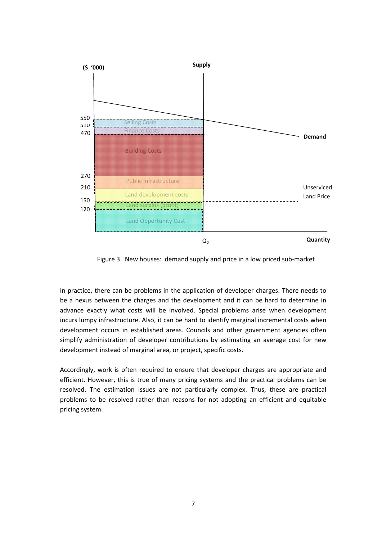

Figure 3 New houses: demand supply and price in a low priced sub-market

In practice, there can be problems in the application of developer charges. There needs to be a nexus between the charges and the development and it can be hard to determine in advance exactly what costs will be involved. Special problems arise when development incurs lumpy infrastructure. Also, it can be hard to identify marginal incremental costs when development occurs in established areas. Councils and other government agencies often simplify administration of developer contributions by estimating an average cost for new development instead of marginal area, or project, specific costs.

Accordingly, work is often required to ensure that developer charges are appropriate and efficient. However, this is true of many pricing systems and the practical problems can be resolved. The estimation issues are not particularly complex. Thus, these are practical problems to be resolved rather than reasons for not adopting an efficient and equitable pricing system.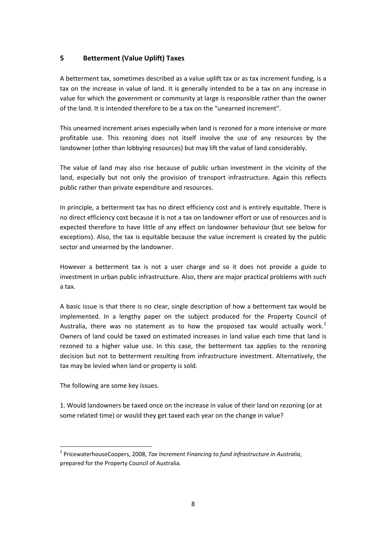### **5 Betterment (Value Uplift) Taxes**

A betterment tax, sometimes described as a value uplift tax or as tax increment funding, is a tax on the increase in value of land. It is generally intended to be a tax on any increase in value for which the government or community at large is responsible rather than the owner of the land. It is intended therefore to be a tax on the "unearned increment".

This unearned increment arises especially when land is rezoned for a more intensive or more profitable use. This rezoning does not itself involve the use of any resources by the landowner (other than lobbying resources) but may lift the value of land considerably.

The value of land may also rise because of public urban investment in the vicinity of the land, especially but not only the provision of transport infrastructure. Again this reflects public rather than private expenditure and resources.

In principle, a betterment tax has no direct efficiency cost and is entirely equitable. There is no direct efficiency cost because it is not a tax on landowner effort or use of resources and is expected therefore to have little of any effect on landowner behaviour (but see below for exceptions). Also, the tax is equitable because the value increment is created by the public sector and unearned by the landowner.

However a betterment tax is not a user charge and so it does not provide a guide to investment in urban public infrastructure. Also, there are major practical problems with such a tax.

A basic issue is that there is no clear, single description of how a betterment tax would be implemented. In a lengthy paper on the subject produced for the Property Council of Australia, there was no statement as to how the proposed tax would actually work.<sup>[2](#page-7-0)</sup> Owners of land could be taxed on estimated increases in land value each time that land is rezoned to a higher value use. In this case, the betterment tax applies to the rezoning decision but not to betterment resulting from infrastructure investment. Alternatively, the tax may be levied when land or property is sold.

The following are some key issues.

1. Would landowners be taxed once on the increase in value of their land on rezoning (or at some related time) or would they get taxed each year on the change in value?

<span id="page-7-0"></span><sup>2</sup> PricewaterhouseCoopers, 2008, *Tax Increment Financing to fund infrastructure in Australia*, prepared for the Property Council of Australia.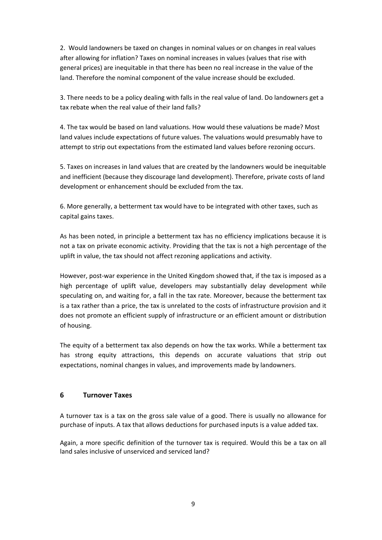2. Would landowners be taxed on changes in nominal values or on changes in real values after allowing for inflation? Taxes on nominal increases in values (values that rise with general prices) are inequitable in that there has been no real increase in the value of the land. Therefore the nominal component of the value increase should be excluded.

3. There needs to be a policy dealing with falls in the real value of land. Do landowners get a tax rebate when the real value of their land falls?

4. The tax would be based on land valuations. How would these valuations be made? Most land values include expectations of future values. The valuations would presumably have to attempt to strip out expectations from the estimated land values before rezoning occurs.

5. Taxes on increases in land values that are created by the landowners would be inequitable and inefficient (because they discourage land development). Therefore, private costs of land development or enhancement should be excluded from the tax.

6. More generally, a betterment tax would have to be integrated with other taxes, such as capital gains taxes.

As has been noted, in principle a betterment tax has no efficiency implications because it is not a tax on private economic activity. Providing that the tax is not a high percentage of the uplift in value, the tax should not affect rezoning applications and activity.

However, post-war experience in the United Kingdom showed that, if the tax is imposed as a high percentage of uplift value, developers may substantially delay development while speculating on, and waiting for, a fall in the tax rate. Moreover, because the betterment tax is a tax rather than a price, the tax is unrelated to the costs of infrastructure provision and it does not promote an efficient supply of infrastructure or an efficient amount or distribution of housing.

The equity of a betterment tax also depends on how the tax works. While a betterment tax has strong equity attractions, this depends on accurate valuations that strip out expectations, nominal changes in values, and improvements made by landowners. 

# **6 Turnover Taxes**

A turnover tax is a tax on the gross sale value of a good. There is usually no allowance for purchase of inputs. A tax that allows deductions for purchased inputs is a value added tax.

Again, a more specific definition of the turnover tax is required. Would this be a tax on all land sales inclusive of unserviced and serviced land?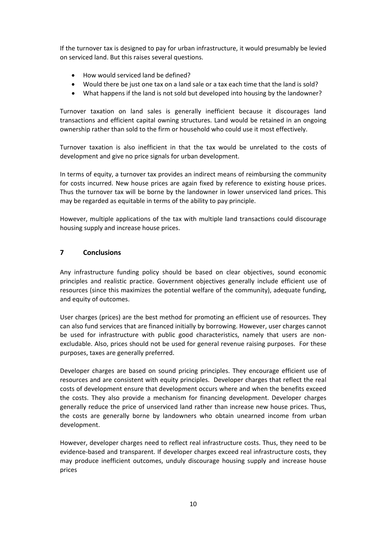If the turnover tax is designed to pay for urban infrastructure, it would presumably be levied on serviced land. But this raises several questions.

- How would serviced land be defined?
- Would there be just one tax on a land sale or a tax each time that the land is sold?
- What happens if the land is not sold but developed into housing by the landowner?

Turnover taxation on land sales is generally inefficient because it discourages land transactions and efficient capital owning structures. Land would be retained in an ongoing ownership rather than sold to the firm or household who could use it most effectively.

Turnover taxation is also inefficient in that the tax would be unrelated to the costs of development and give no price signals for urban development.

In terms of equity, a turnover tax provides an indirect means of reimbursing the community for costs incurred. New house prices are again fixed by reference to existing house prices. Thus the turnover tax will be borne by the landowner in lower unserviced land prices. This may be regarded as equitable in terms of the ability to pay principle.

However, multiple applications of the tax with multiple land transactions could discourage housing supply and increase house prices.

#### **7 Conclusions**

Any infrastructure funding policy should be based on clear objectives, sound economic principles and realistic practice. Government objectives generally include efficient use of resources (since this maximizes the potential welfare of the community), adequate funding, and equity of outcomes.

User charges (prices) are the best method for promoting an efficient use of resources. They can also fund services that are financed initially by borrowing. However, user charges cannot be used for infrastructure with public good characteristics, namely that users are nonexcludable. Also, prices should not be used for general revenue raising purposes. For these purposes, taxes are generally preferred.

Developer charges are based on sound pricing principles. They encourage efficient use of resources and are consistent with equity principles. Developer charges that reflect the real costs of development ensure that development occurs where and when the benefits exceed the costs. They also provide a mechanism for financing development. Developer charges generally reduce the price of unserviced land rather than increase new house prices. Thus, the costs are generally borne by landowners who obtain unearned income from urban development.

However, developer charges need to reflect real infrastructure costs. Thus, they need to be evidence-based and transparent. If developer charges exceed real infrastructure costs, they may produce inefficient outcomes, unduly discourage housing supply and increase house prices